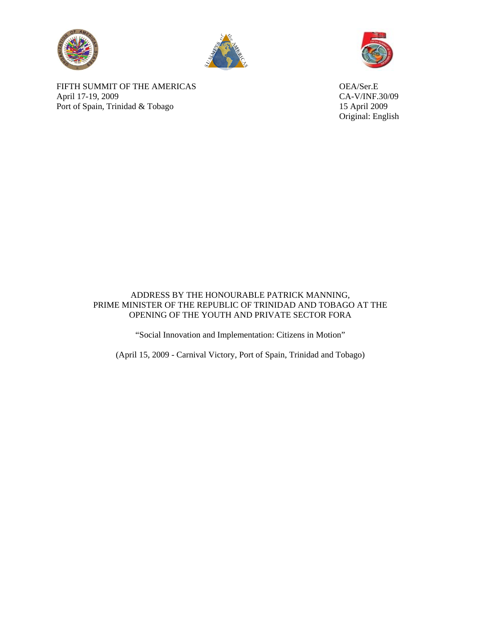





FIFTH SUMMIT OF THE AMERICAS OEA/Ser.E April 17-19, 2009 CA-V/INF.30/09 Port of Spain, Trinidad & Tobago 15 April 2009

Original: English

## ADDRESS BY THE HONOURABLE PATRICK MANNING, PRIME MINISTER OF THE REPUBLIC OF TRINIDAD AND TOBAGO AT THE OPENING OF THE YOUTH AND PRIVATE SECTOR FORA

"Social Innovation and Implementation: Citizens in Motion"

(April 15, 2009 - Carnival Victory, Port of Spain, Trinidad and Tobago)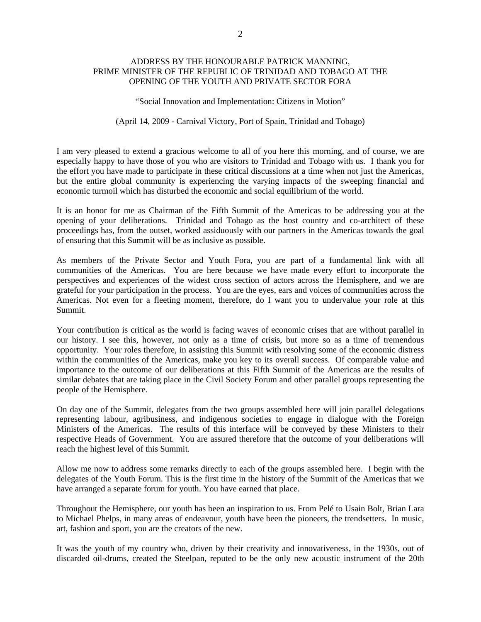## ADDRESS BY THE HONOURABLE PATRICK MANNING, PRIME MINISTER OF THE REPUBLIC OF TRINIDAD AND TOBAGO AT THE OPENING OF THE YOUTH AND PRIVATE SECTOR FORA

"Social Innovation and Implementation: Citizens in Motion"

## (April 14, 2009 - Carnival Victory, Port of Spain, Trinidad and Tobago)

I am very pleased to extend a gracious welcome to all of you here this morning, and of course, we are especially happy to have those of you who are visitors to Trinidad and Tobago with us. I thank you for the effort you have made to participate in these critical discussions at a time when not just the Americas, but the entire global community is experiencing the varying impacts of the sweeping financial and economic turmoil which has disturbed the economic and social equilibrium of the world.

It is an honor for me as Chairman of the Fifth Summit of the Americas to be addressing you at the opening of your deliberations. Trinidad and Tobago as the host country and co-architect of these proceedings has, from the outset, worked assiduously with our partners in the Americas towards the goal of ensuring that this Summit will be as inclusive as possible.

As members of the Private Sector and Youth Fora, you are part of a fundamental link with all communities of the Americas. You are here because we have made every effort to incorporate the perspectives and experiences of the widest cross section of actors across the Hemisphere, and we are grateful for your participation in the process. You are the eyes, ears and voices of communities across the Americas. Not even for a fleeting moment, therefore, do I want you to undervalue your role at this Summit.

Your contribution is critical as the world is facing waves of economic crises that are without parallel in our history. I see this, however, not only as a time of crisis, but more so as a time of tremendous opportunity. Your roles therefore, in assisting this Summit with resolving some of the economic distress within the communities of the Americas, make you key to its overall success. Of comparable value and importance to the outcome of our deliberations at this Fifth Summit of the Americas are the results of similar debates that are taking place in the Civil Society Forum and other parallel groups representing the people of the Hemisphere.

On day one of the Summit, delegates from the two groups assembled here will join parallel delegations representing labour, agribusiness, and indigenous societies to engage in dialogue with the Foreign Ministers of the Americas. The results of this interface will be conveyed by these Ministers to their respective Heads of Government. You are assured therefore that the outcome of your deliberations will reach the highest level of this Summit.

Allow me now to address some remarks directly to each of the groups assembled here. I begin with the delegates of the Youth Forum. This is the first time in the history of the Summit of the Americas that we have arranged a separate forum for youth. You have earned that place.

Throughout the Hemisphere, our youth has been an inspiration to us. From Pelé to Usain Bolt, Brian Lara to Michael Phelps, in many areas of endeavour, youth have been the pioneers, the trendsetters. In music, art, fashion and sport, you are the creators of the new.

It was the youth of my country who, driven by their creativity and innovativeness, in the 1930s, out of discarded oil-drums, created the Steelpan, reputed to be the only new acoustic instrument of the 20th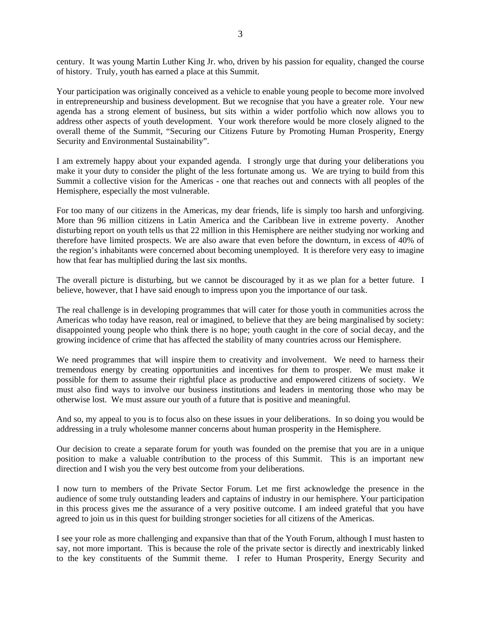century. It was young Martin Luther King Jr. who, driven by his passion for equality, changed the course of history. Truly, youth has earned a place at this Summit.

Your participation was originally conceived as a vehicle to enable young people to become more involved in entrepreneurship and business development. But we recognise that you have a greater role. Your new agenda has a strong element of business, but sits within a wider portfolio which now allows you to address other aspects of youth development. Your work therefore would be more closely aligned to the overall theme of the Summit, "Securing our Citizens Future by Promoting Human Prosperity, Energy Security and Environmental Sustainability".

I am extremely happy about your expanded agenda. I strongly urge that during your deliberations you make it your duty to consider the plight of the less fortunate among us. We are trying to build from this Summit a collective vision for the Americas - one that reaches out and connects with all peoples of the Hemisphere, especially the most vulnerable.

For too many of our citizens in the Americas, my dear friends, life is simply too harsh and unforgiving. More than 96 million citizens in Latin America and the Caribbean live in extreme poverty. Another disturbing report on youth tells us that 22 million in this Hemisphere are neither studying nor working and therefore have limited prospects. We are also aware that even before the downturn, in excess of 40% of the region's inhabitants were concerned about becoming unemployed. It is therefore very easy to imagine how that fear has multiplied during the last six months.

The overall picture is disturbing, but we cannot be discouraged by it as we plan for a better future. I believe, however, that I have said enough to impress upon you the importance of our task.

The real challenge is in developing programmes that will cater for those youth in communities across the Americas who today have reason, real or imagined, to believe that they are being marginalised by society: disappointed young people who think there is no hope; youth caught in the core of social decay, and the growing incidence of crime that has affected the stability of many countries across our Hemisphere.

We need programmes that will inspire them to creativity and involvement. We need to harness their tremendous energy by creating opportunities and incentives for them to prosper. We must make it possible for them to assume their rightful place as productive and empowered citizens of society. We must also find ways to involve our business institutions and leaders in mentoring those who may be otherwise lost. We must assure our youth of a future that is positive and meaningful.

And so, my appeal to you is to focus also on these issues in your deliberations. In so doing you would be addressing in a truly wholesome manner concerns about human prosperity in the Hemisphere.

Our decision to create a separate forum for youth was founded on the premise that you are in a unique position to make a valuable contribution to the process of this Summit. This is an important new direction and I wish you the very best outcome from your deliberations.

I now turn to members of the Private Sector Forum. Let me first acknowledge the presence in the audience of some truly outstanding leaders and captains of industry in our hemisphere. Your participation in this process gives me the assurance of a very positive outcome. I am indeed grateful that you have agreed to join us in this quest for building stronger societies for all citizens of the Americas.

I see your role as more challenging and expansive than that of the Youth Forum, although I must hasten to say, not more important. This is because the role of the private sector is directly and inextricably linked to the key constituents of the Summit theme. I refer to Human Prosperity, Energy Security and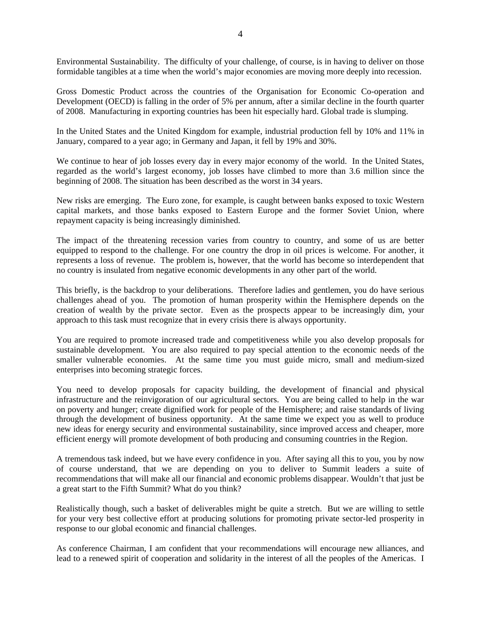Environmental Sustainability. The difficulty of your challenge, of course, is in having to deliver on those formidable tangibles at a time when the world's major economies are moving more deeply into recession.

Gross Domestic Product across the countries of the Organisation for Economic Co-operation and Development (OECD) is falling in the order of 5% per annum, after a similar decline in the fourth quarter of 2008. Manufacturing in exporting countries has been hit especially hard. Global trade is slumping.

In the United States and the United Kingdom for example, industrial production fell by 10% and 11% in January, compared to a year ago; in Germany and Japan, it fell by 19% and 30%.

We continue to hear of job losses every day in every major economy of the world. In the United States, regarded as the world's largest economy, job losses have climbed to more than 3.6 million since the beginning of 2008. The situation has been described as the worst in 34 years.

New risks are emerging. The Euro zone, for example, is caught between banks exposed to toxic Western capital markets, and those banks exposed to Eastern Europe and the former Soviet Union, where repayment capacity is being increasingly diminished.

The impact of the threatening recession varies from country to country, and some of us are better equipped to respond to the challenge. For one country the drop in oil prices is welcome. For another, it represents a loss of revenue. The problem is, however, that the world has become so interdependent that no country is insulated from negative economic developments in any other part of the world.

This briefly, is the backdrop to your deliberations. Therefore ladies and gentlemen, you do have serious challenges ahead of you. The promotion of human prosperity within the Hemisphere depends on the creation of wealth by the private sector. Even as the prospects appear to be increasingly dim, your approach to this task must recognize that in every crisis there is always opportunity.

You are required to promote increased trade and competitiveness while you also develop proposals for sustainable development. You are also required to pay special attention to the economic needs of the smaller vulnerable economies. At the same time you must guide micro, small and medium-sized enterprises into becoming strategic forces.

You need to develop proposals for capacity building, the development of financial and physical infrastructure and the reinvigoration of our agricultural sectors. You are being called to help in the war on poverty and hunger; create dignified work for people of the Hemisphere; and raise standards of living through the development of business opportunity. At the same time we expect you as well to produce new ideas for energy security and environmental sustainability, since improved access and cheaper, more efficient energy will promote development of both producing and consuming countries in the Region.

A tremendous task indeed, but we have every confidence in you. After saying all this to you, you by now of course understand, that we are depending on you to deliver to Summit leaders a suite of recommendations that will make all our financial and economic problems disappear. Wouldn't that just be a great start to the Fifth Summit? What do you think?

Realistically though, such a basket of deliverables might be quite a stretch. But we are willing to settle for your very best collective effort at producing solutions for promoting private sector-led prosperity in response to our global economic and financial challenges.

As conference Chairman, I am confident that your recommendations will encourage new alliances, and lead to a renewed spirit of cooperation and solidarity in the interest of all the peoples of the Americas. I